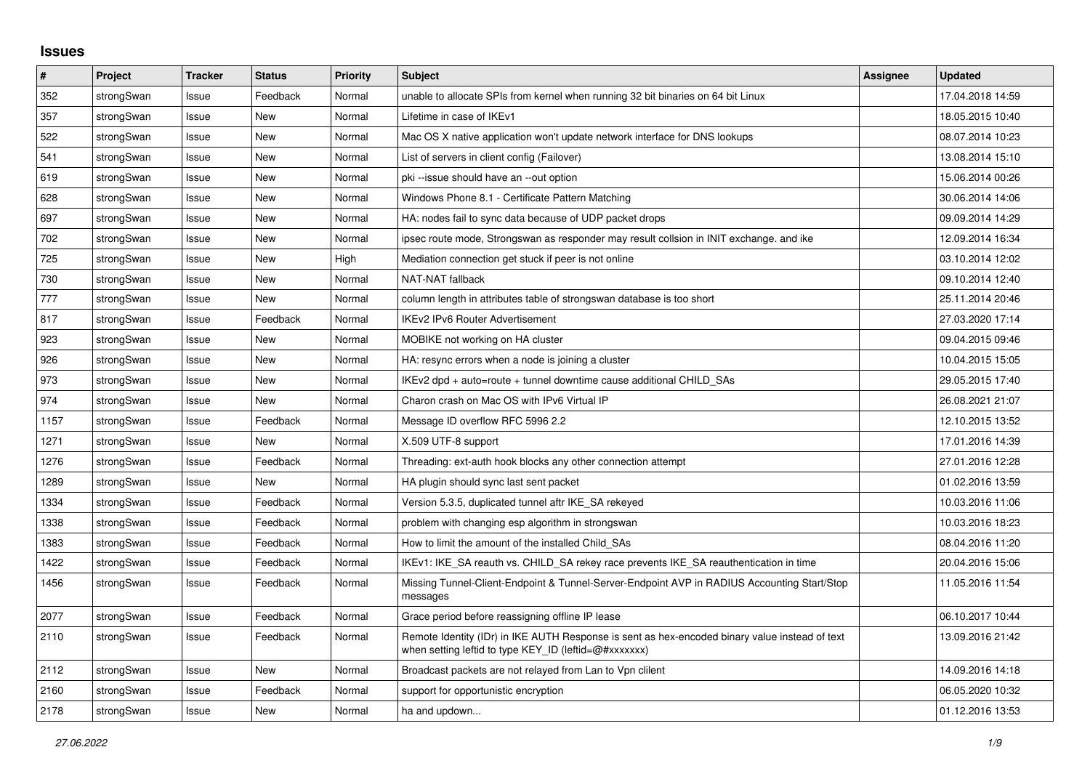## **Issues**

| #    | Project    | <b>Tracker</b> | <b>Status</b> | <b>Priority</b> | <b>Subject</b>                                                                                                                                          | Assignee | <b>Updated</b>   |
|------|------------|----------------|---------------|-----------------|---------------------------------------------------------------------------------------------------------------------------------------------------------|----------|------------------|
| 352  | strongSwan | Issue          | Feedback      | Normal          | unable to allocate SPIs from kernel when running 32 bit binaries on 64 bit Linux                                                                        |          | 17.04.2018 14:59 |
| 357  | strongSwan | Issue          | New           | Normal          | Lifetime in case of IKEv1                                                                                                                               |          | 18.05.2015 10:40 |
| 522  | strongSwan | Issue          | <b>New</b>    | Normal          | Mac OS X native application won't update network interface for DNS lookups                                                                              |          | 08.07.2014 10:23 |
| 541  | strongSwan | Issue          | <b>New</b>    | Normal          | List of servers in client config (Failover)                                                                                                             |          | 13.08.2014 15:10 |
| 619  | strongSwan | Issue          | <b>New</b>    | Normal          | pki --issue should have an --out option                                                                                                                 |          | 15.06.2014 00:26 |
| 628  | strongSwan | Issue          | <b>New</b>    | Normal          | Windows Phone 8.1 - Certificate Pattern Matching                                                                                                        |          | 30.06.2014 14:06 |
| 697  | strongSwan | Issue          | <b>New</b>    | Normal          | HA: nodes fail to sync data because of UDP packet drops                                                                                                 |          | 09.09.2014 14:29 |
| 702  | strongSwan | Issue          | <b>New</b>    | Normal          | ipsec route mode, Strongswan as responder may result collsion in INIT exchange, and ike                                                                 |          | 12.09.2014 16:34 |
| 725  | strongSwan | Issue          | New           | High            | Mediation connection get stuck if peer is not online                                                                                                    |          | 03.10.2014 12:02 |
| 730  | strongSwan | Issue          | <b>New</b>    | Normal          | <b>NAT-NAT fallback</b>                                                                                                                                 |          | 09.10.2014 12:40 |
| 777  | strongSwan | Issue          | <b>New</b>    | Normal          | column length in attributes table of strongswan database is too short                                                                                   |          | 25.11.2014 20:46 |
| 817  | strongSwan | Issue          | Feedback      | Normal          | <b>IKEv2 IPv6 Router Advertisement</b>                                                                                                                  |          | 27.03.2020 17:14 |
| 923  | strongSwan | Issue          | <b>New</b>    | Normal          | MOBIKE not working on HA cluster                                                                                                                        |          | 09.04.2015 09:46 |
| 926  | strongSwan | Issue          | <b>New</b>    | Normal          | HA: resync errors when a node is joining a cluster                                                                                                      |          | 10.04.2015 15:05 |
| 973  | strongSwan | Issue          | <b>New</b>    | Normal          | IKEv2 dpd + auto=route + tunnel downtime cause additional CHILD SAs                                                                                     |          | 29.05.2015 17:40 |
| 974  | strongSwan | Issue          | <b>New</b>    | Normal          | Charon crash on Mac OS with IPv6 Virtual IP                                                                                                             |          | 26.08.2021 21:07 |
| 1157 | strongSwan | Issue          | Feedback      | Normal          | Message ID overflow RFC 5996 2.2                                                                                                                        |          | 12.10.2015 13:52 |
| 1271 | strongSwan | Issue          | <b>New</b>    | Normal          | X.509 UTF-8 support                                                                                                                                     |          | 17.01.2016 14:39 |
| 1276 | strongSwan | Issue          | Feedback      | Normal          | Threading: ext-auth hook blocks any other connection attempt                                                                                            |          | 27.01.2016 12:28 |
| 1289 | strongSwan | Issue          | <b>New</b>    | Normal          | HA plugin should sync last sent packet                                                                                                                  |          | 01.02.2016 13:59 |
| 1334 | strongSwan | Issue          | Feedback      | Normal          | Version 5.3.5, duplicated tunnel aftr IKE SA rekeyed                                                                                                    |          | 10.03.2016 11:06 |
| 1338 | strongSwan | Issue          | Feedback      | Normal          | problem with changing esp algorithm in strongswan                                                                                                       |          | 10.03.2016 18:23 |
| 1383 | strongSwan | Issue          | Feedback      | Normal          | How to limit the amount of the installed Child SAs                                                                                                      |          | 08.04.2016 11:20 |
| 1422 | strongSwan | Issue          | Feedback      | Normal          | IKEv1: IKE_SA reauth vs. CHILD_SA rekey race prevents IKE_SA reauthentication in time                                                                   |          | 20.04.2016 15:06 |
| 1456 | strongSwan | Issue          | Feedback      | Normal          | Missing Tunnel-Client-Endpoint & Tunnel-Server-Endpoint AVP in RADIUS Accounting Start/Stop<br>messages                                                 |          | 11.05.2016 11:54 |
| 2077 | strongSwan | Issue          | Feedback      | Normal          | Grace period before reassigning offline IP lease                                                                                                        |          | 06.10.2017 10:44 |
| 2110 | strongSwan | Issue          | Feedback      | Normal          | Remote Identity (IDr) in IKE AUTH Response is sent as hex-encoded binary value instead of text<br>when setting leftid to type KEY_ID (leftid=@#xxxxxxx) |          | 13.09.2016 21:42 |
| 2112 | strongSwan | Issue          | New           | Normal          | Broadcast packets are not relayed from Lan to Vpn clilent                                                                                               |          | 14.09.2016 14:18 |
| 2160 | strongSwan | Issue          | Feedback      | Normal          | support for opportunistic encryption                                                                                                                    |          | 06.05.2020 10:32 |
| 2178 | strongSwan | Issue          | New           | Normal          | ha and updown                                                                                                                                           |          | 01.12.2016 13:53 |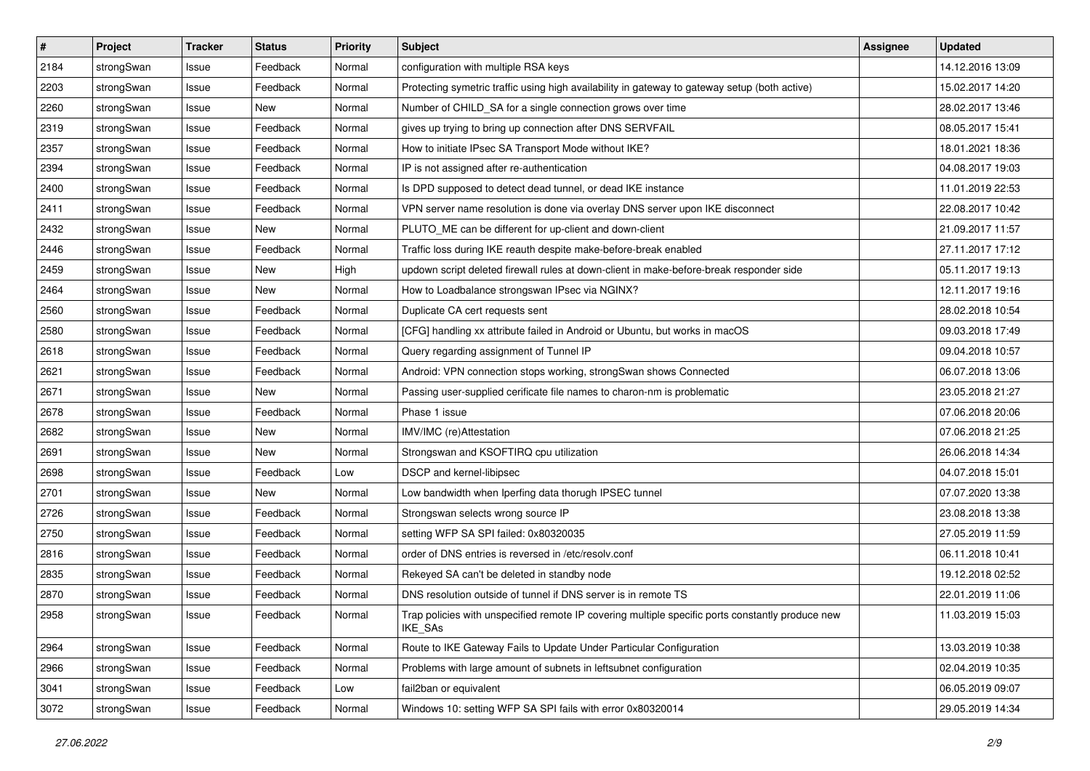| $\sharp$ | Project    | <b>Tracker</b> | <b>Status</b> | <b>Priority</b> | <b>Subject</b>                                                                                                     | <b>Assignee</b> | <b>Updated</b>   |
|----------|------------|----------------|---------------|-----------------|--------------------------------------------------------------------------------------------------------------------|-----------------|------------------|
| 2184     | strongSwan | Issue          | Feedback      | Normal          | configuration with multiple RSA keys                                                                               |                 | 14.12.2016 13:09 |
| 2203     | strongSwan | Issue          | Feedback      | Normal          | Protecting symetric traffic using high availability in gateway to gateway setup (both active)                      |                 | 15.02.2017 14:20 |
| 2260     | strongSwan | Issue          | New           | Normal          | Number of CHILD_SA for a single connection grows over time                                                         |                 | 28.02.2017 13:46 |
| 2319     | strongSwan | Issue          | Feedback      | Normal          | gives up trying to bring up connection after DNS SERVFAIL                                                          |                 | 08.05.2017 15:41 |
| 2357     | strongSwan | Issue          | Feedback      | Normal          | How to initiate IPsec SA Transport Mode without IKE?                                                               |                 | 18.01.2021 18:36 |
| 2394     | strongSwan | Issue          | Feedback      | Normal          | IP is not assigned after re-authentication                                                                         |                 | 04.08.2017 19:03 |
| 2400     | strongSwan | Issue          | Feedback      | Normal          | Is DPD supposed to detect dead tunnel, or dead IKE instance                                                        |                 | 11.01.2019 22:53 |
| 2411     | strongSwan | Issue          | Feedback      | Normal          | VPN server name resolution is done via overlay DNS server upon IKE disconnect                                      |                 | 22.08.2017 10:42 |
| 2432     | strongSwan | Issue          | <b>New</b>    | Normal          | PLUTO_ME can be different for up-client and down-client                                                            |                 | 21.09.2017 11:57 |
| 2446     | strongSwan | Issue          | Feedback      | Normal          | Traffic loss during IKE reauth despite make-before-break enabled                                                   |                 | 27.11.2017 17:12 |
| 2459     | strongSwan | Issue          | New           | High            | updown script deleted firewall rules at down-client in make-before-break responder side                            |                 | 05.11.2017 19:13 |
| 2464     | strongSwan | Issue          | New           | Normal          | How to Loadbalance strongswan IPsec via NGINX?                                                                     |                 | 12.11.2017 19:16 |
| 2560     | strongSwan | Issue          | Feedback      | Normal          | Duplicate CA cert requests sent                                                                                    |                 | 28.02.2018 10:54 |
| 2580     | strongSwan | Issue          | Feedback      | Normal          | [CFG] handling xx attribute failed in Android or Ubuntu, but works in macOS                                        |                 | 09.03.2018 17:49 |
| 2618     | strongSwan | Issue          | Feedback      | Normal          | Query regarding assignment of Tunnel IP                                                                            |                 | 09.04.2018 10:57 |
| 2621     | strongSwan | Issue          | Feedback      | Normal          | Android: VPN connection stops working, strongSwan shows Connected                                                  |                 | 06.07.2018 13:06 |
| 2671     | strongSwan | Issue          | New           | Normal          | Passing user-supplied cerificate file names to charon-nm is problematic                                            |                 | 23.05.2018 21:27 |
| 2678     | strongSwan | Issue          | Feedback      | Normal          | Phase 1 issue                                                                                                      |                 | 07.06.2018 20:06 |
| 2682     | strongSwan | Issue          | New           | Normal          | IMV/IMC (re)Attestation                                                                                            |                 | 07.06.2018 21:25 |
| 2691     | strongSwan | Issue          | New           | Normal          | Strongswan and KSOFTIRQ cpu utilization                                                                            |                 | 26.06.2018 14:34 |
| 2698     | strongSwan | Issue          | Feedback      | Low             | DSCP and kernel-libipsec                                                                                           |                 | 04.07.2018 15:01 |
| 2701     | strongSwan | Issue          | <b>New</b>    | Normal          | Low bandwidth when Iperfing data thorugh IPSEC tunnel                                                              |                 | 07.07.2020 13:38 |
| 2726     | strongSwan | Issue          | Feedback      | Normal          | Strongswan selects wrong source IP                                                                                 |                 | 23.08.2018 13:38 |
| 2750     | strongSwan | Issue          | Feedback      | Normal          | setting WFP SA SPI failed: 0x80320035                                                                              |                 | 27.05.2019 11:59 |
| 2816     | strongSwan | Issue          | Feedback      | Normal          | order of DNS entries is reversed in /etc/resolv.conf                                                               |                 | 06.11.2018 10:41 |
| 2835     | strongSwan | Issue          | Feedback      | Normal          | Rekeyed SA can't be deleted in standby node                                                                        |                 | 19.12.2018 02:52 |
| 2870     | strongSwan | Issue          | Feedback      | Normal          | DNS resolution outside of tunnel if DNS server is in remote TS                                                     |                 | 22.01.2019 11:06 |
| 2958     | strongSwan | Issue          | Feedback      | Normal          | Trap policies with unspecified remote IP covering multiple specific ports constantly produce new<br><b>IKE SAs</b> |                 | 11.03.2019 15:03 |
| 2964     | strongSwan | Issue          | Feedback      | Normal          | Route to IKE Gateway Fails to Update Under Particular Configuration                                                |                 | 13.03.2019 10:38 |
| 2966     | strongSwan | Issue          | Feedback      | Normal          | Problems with large amount of subnets in leftsubnet configuration                                                  |                 | 02.04.2019 10:35 |
| 3041     | strongSwan | Issue          | Feedback      | Low             | fail2ban or equivalent                                                                                             |                 | 06.05.2019 09:07 |
| 3072     | strongSwan | Issue          | Feedback      | Normal          | Windows 10: setting WFP SA SPI fails with error 0x80320014                                                         |                 | 29.05.2019 14:34 |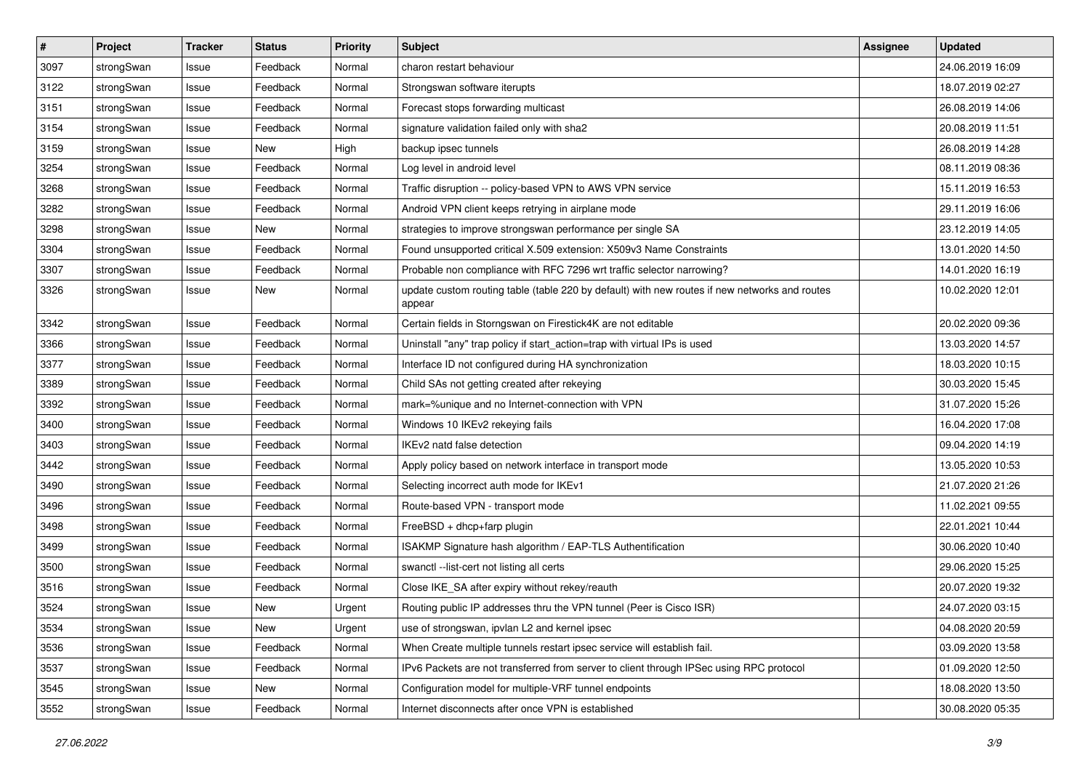| $\pmb{\#}$ | Project    | <b>Tracker</b> | <b>Status</b> | <b>Priority</b> | <b>Subject</b>                                                                                          | <b>Assignee</b> | <b>Updated</b>   |
|------------|------------|----------------|---------------|-----------------|---------------------------------------------------------------------------------------------------------|-----------------|------------------|
| 3097       | strongSwan | Issue          | Feedback      | Normal          | charon restart behaviour                                                                                |                 | 24.06.2019 16:09 |
| 3122       | strongSwan | Issue          | Feedback      | Normal          | Strongswan software iterupts                                                                            |                 | 18.07.2019 02:27 |
| 3151       | strongSwan | Issue          | Feedback      | Normal          | Forecast stops forwarding multicast                                                                     |                 | 26.08.2019 14:06 |
| 3154       | strongSwan | Issue          | Feedback      | Normal          | signature validation failed only with sha2                                                              |                 | 20.08.2019 11:51 |
| 3159       | strongSwan | Issue          | New           | High            | backup ipsec tunnels                                                                                    |                 | 26.08.2019 14:28 |
| 3254       | strongSwan | Issue          | Feedback      | Normal          | Log level in android level                                                                              |                 | 08.11.2019 08:36 |
| 3268       | strongSwan | Issue          | Feedback      | Normal          | Traffic disruption -- policy-based VPN to AWS VPN service                                               |                 | 15.11.2019 16:53 |
| 3282       | strongSwan | Issue          | Feedback      | Normal          | Android VPN client keeps retrying in airplane mode                                                      |                 | 29.11.2019 16:06 |
| 3298       | strongSwan | Issue          | New           | Normal          | strategies to improve strongswan performance per single SA                                              |                 | 23.12.2019 14:05 |
| 3304       | strongSwan | Issue          | Feedback      | Normal          | Found unsupported critical X.509 extension: X509v3 Name Constraints                                     |                 | 13.01.2020 14:50 |
| 3307       | strongSwan | Issue          | Feedback      | Normal          | Probable non compliance with RFC 7296 wrt traffic selector narrowing?                                   |                 | 14.01.2020 16:19 |
| 3326       | strongSwan | Issue          | New           | Normal          | update custom routing table (table 220 by default) with new routes if new networks and routes<br>appear |                 | 10.02.2020 12:01 |
| 3342       | strongSwan | Issue          | Feedback      | Normal          | Certain fields in Storngswan on Firestick4K are not editable                                            |                 | 20.02.2020 09:36 |
| 3366       | strongSwan | Issue          | Feedback      | Normal          | Uninstall "any" trap policy if start_action=trap with virtual IPs is used                               |                 | 13.03.2020 14:57 |
| 3377       | strongSwan | Issue          | Feedback      | Normal          | Interface ID not configured during HA synchronization                                                   |                 | 18.03.2020 10:15 |
| 3389       | strongSwan | Issue          | Feedback      | Normal          | Child SAs not getting created after rekeying                                                            |                 | 30.03.2020 15:45 |
| 3392       | strongSwan | Issue          | Feedback      | Normal          | mark=%unique and no Internet-connection with VPN                                                        |                 | 31.07.2020 15:26 |
| 3400       | strongSwan | Issue          | Feedback      | Normal          | Windows 10 IKEv2 rekeying fails                                                                         |                 | 16.04.2020 17:08 |
| 3403       | strongSwan | Issue          | Feedback      | Normal          | IKEv2 natd false detection                                                                              |                 | 09.04.2020 14:19 |
| 3442       | strongSwan | Issue          | Feedback      | Normal          | Apply policy based on network interface in transport mode                                               |                 | 13.05.2020 10:53 |
| 3490       | strongSwan | Issue          | Feedback      | Normal          | Selecting incorrect auth mode for IKEv1                                                                 |                 | 21.07.2020 21:26 |
| 3496       | strongSwan | Issue          | Feedback      | Normal          | Route-based VPN - transport mode                                                                        |                 | 11.02.2021 09:55 |
| 3498       | strongSwan | Issue          | Feedback      | Normal          | FreeBSD + dhcp+farp plugin                                                                              |                 | 22.01.2021 10:44 |
| 3499       | strongSwan | Issue          | Feedback      | Normal          | ISAKMP Signature hash algorithm / EAP-TLS Authentification                                              |                 | 30.06.2020 10:40 |
| 3500       | strongSwan | Issue          | Feedback      | Normal          | swanctl --list-cert not listing all certs                                                               |                 | 29.06.2020 15:25 |
| 3516       | strongSwan | Issue          | Feedback      | Normal          | Close IKE_SA after expiry without rekey/reauth                                                          |                 | 20.07.2020 19:32 |
| 3524       | strongSwan | Issue          | <b>New</b>    | Urgent          | Routing public IP addresses thru the VPN tunnel (Peer is Cisco ISR)                                     |                 | 24.07.2020 03:15 |
| 3534       | strongSwan | Issue          | New           | Urgent          | use of strongswan, ipvlan L2 and kernel ipsec                                                           |                 | 04.08.2020 20:59 |
| 3536       | strongSwan | Issue          | Feedback      | Normal          | When Create multiple tunnels restart ipsec service will establish fail.                                 |                 | 03.09.2020 13:58 |
| 3537       | strongSwan | Issue          | Feedback      | Normal          | IPv6 Packets are not transferred from server to client through IPSec using RPC protocol                 |                 | 01.09.2020 12:50 |
| 3545       | strongSwan | Issue          | New           | Normal          | Configuration model for multiple-VRF tunnel endpoints                                                   |                 | 18.08.2020 13:50 |
| 3552       | strongSwan | Issue          | Feedback      | Normal          | Internet disconnects after once VPN is established                                                      |                 | 30.08.2020 05:35 |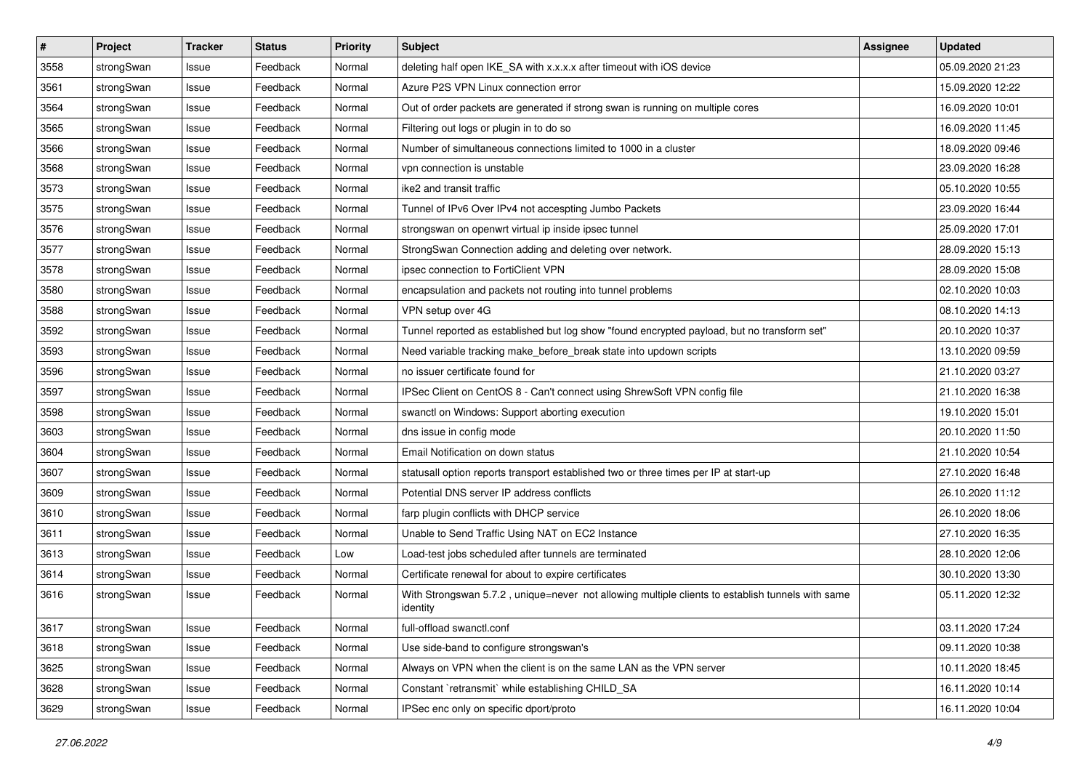| $\pmb{\#}$ | Project    | <b>Tracker</b> | <b>Status</b> | <b>Priority</b> | <b>Subject</b>                                                                                               | <b>Assignee</b> | <b>Updated</b>   |
|------------|------------|----------------|---------------|-----------------|--------------------------------------------------------------------------------------------------------------|-----------------|------------------|
| 3558       | strongSwan | Issue          | Feedback      | Normal          | deleting half open IKE_SA with x.x.x.x after timeout with iOS device                                         |                 | 05.09.2020 21:23 |
| 3561       | strongSwan | Issue          | Feedback      | Normal          | Azure P2S VPN Linux connection error                                                                         |                 | 15.09.2020 12:22 |
| 3564       | strongSwan | Issue          | Feedback      | Normal          | Out of order packets are generated if strong swan is running on multiple cores                               |                 | 16.09.2020 10:01 |
| 3565       | strongSwan | Issue          | Feedback      | Normal          | Filtering out logs or plugin in to do so                                                                     |                 | 16.09.2020 11:45 |
| 3566       | strongSwan | Issue          | Feedback      | Normal          | Number of simultaneous connections limited to 1000 in a cluster                                              |                 | 18.09.2020 09:46 |
| 3568       | strongSwan | Issue          | Feedback      | Normal          | vpn connection is unstable                                                                                   |                 | 23.09.2020 16:28 |
| 3573       | strongSwan | Issue          | Feedback      | Normal          | ike2 and transit traffic                                                                                     |                 | 05.10.2020 10:55 |
| 3575       | strongSwan | Issue          | Feedback      | Normal          | Tunnel of IPv6 Over IPv4 not accespting Jumbo Packets                                                        |                 | 23.09.2020 16:44 |
| 3576       | strongSwan | Issue          | Feedback      | Normal          | strongswan on openwrt virtual ip inside ipsec tunnel                                                         |                 | 25.09.2020 17:01 |
| 3577       | strongSwan | Issue          | Feedback      | Normal          | StrongSwan Connection adding and deleting over network.                                                      |                 | 28.09.2020 15:13 |
| 3578       | strongSwan | Issue          | Feedback      | Normal          | ipsec connection to FortiClient VPN                                                                          |                 | 28.09.2020 15:08 |
| 3580       | strongSwan | Issue          | Feedback      | Normal          | encapsulation and packets not routing into tunnel problems                                                   |                 | 02.10.2020 10:03 |
| 3588       | strongSwan | Issue          | Feedback      | Normal          | VPN setup over 4G                                                                                            |                 | 08.10.2020 14:13 |
| 3592       | strongSwan | Issue          | Feedback      | Normal          | Tunnel reported as established but log show "found encrypted payload, but no transform set"                  |                 | 20.10.2020 10:37 |
| 3593       | strongSwan | Issue          | Feedback      | Normal          | Need variable tracking make_before_break state into updown scripts                                           |                 | 13.10.2020 09:59 |
| 3596       | strongSwan | Issue          | Feedback      | Normal          | no issuer certificate found for                                                                              |                 | 21.10.2020 03:27 |
| 3597       | strongSwan | Issue          | Feedback      | Normal          | IPSec Client on CentOS 8 - Can't connect using ShrewSoft VPN config file                                     |                 | 21.10.2020 16:38 |
| 3598       | strongSwan | Issue          | Feedback      | Normal          | swanctl on Windows: Support aborting execution                                                               |                 | 19.10.2020 15:01 |
| 3603       | strongSwan | Issue          | Feedback      | Normal          | dns issue in config mode                                                                                     |                 | 20.10.2020 11:50 |
| 3604       | strongSwan | Issue          | Feedback      | Normal          | Email Notification on down status                                                                            |                 | 21.10.2020 10:54 |
| 3607       | strongSwan | Issue          | Feedback      | Normal          | statusall option reports transport established two or three times per IP at start-up                         |                 | 27.10.2020 16:48 |
| 3609       | strongSwan | Issue          | Feedback      | Normal          | Potential DNS server IP address conflicts                                                                    |                 | 26.10.2020 11:12 |
| 3610       | strongSwan | Issue          | Feedback      | Normal          | farp plugin conflicts with DHCP service                                                                      |                 | 26.10.2020 18:06 |
| 3611       | strongSwan | Issue          | Feedback      | Normal          | Unable to Send Traffic Using NAT on EC2 Instance                                                             |                 | 27.10.2020 16:35 |
| 3613       | strongSwan | Issue          | Feedback      | Low             | Load-test jobs scheduled after tunnels are terminated                                                        |                 | 28.10.2020 12:06 |
| 3614       | strongSwan | Issue          | Feedback      | Normal          | Certificate renewal for about to expire certificates                                                         |                 | 30.10.2020 13:30 |
| 3616       | strongSwan | Issue          | Feedback      | Normal          | With Strongswan 5.7.2, unique=never not allowing multiple clients to establish tunnels with same<br>identity |                 | 05.11.2020 12:32 |
| 3617       | strongSwan | Issue          | Feedback      | Normal          | full-offload swanctl.conf                                                                                    |                 | 03.11.2020 17:24 |
| 3618       | strongSwan | Issue          | Feedback      | Normal          | Use side-band to configure strongswan's                                                                      |                 | 09.11.2020 10:38 |
| 3625       | strongSwan | Issue          | Feedback      | Normal          | Always on VPN when the client is on the same LAN as the VPN server                                           |                 | 10.11.2020 18:45 |
| 3628       | strongSwan | Issue          | Feedback      | Normal          | Constant `retransmit` while establishing CHILD_SA                                                            |                 | 16.11.2020 10:14 |
| 3629       | strongSwan | Issue          | Feedback      | Normal          | IPSec enc only on specific dport/proto                                                                       |                 | 16.11.2020 10:04 |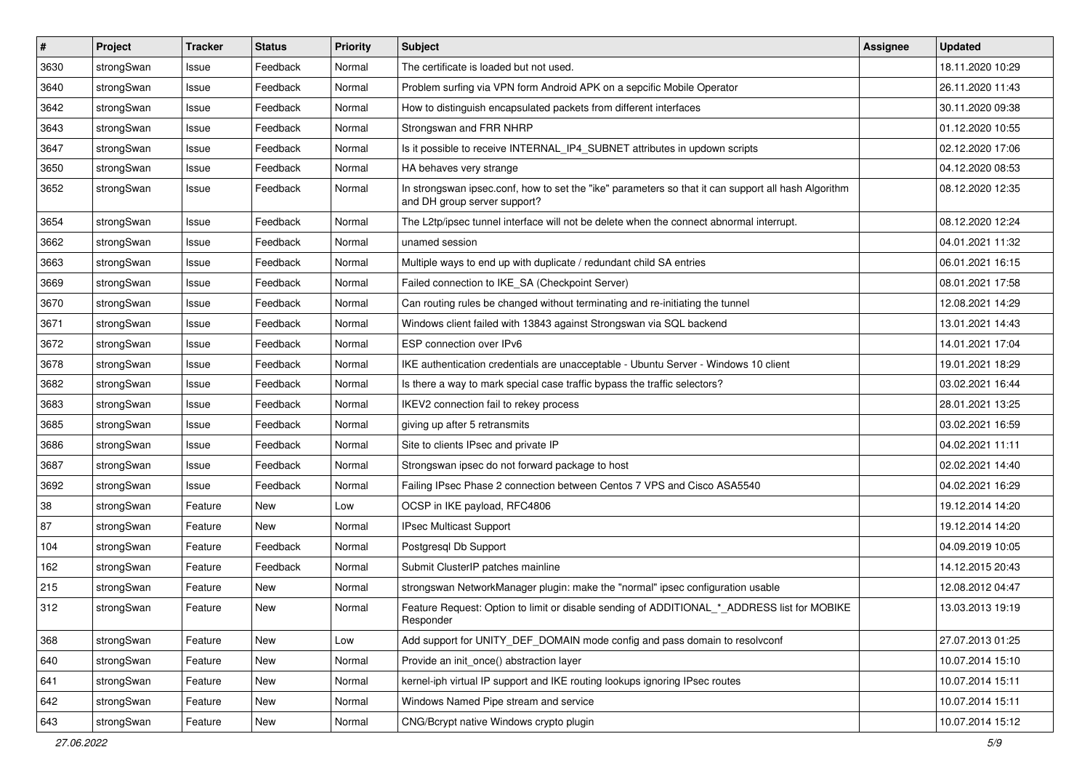| #    | Project    | <b>Tracker</b> | <b>Status</b> | <b>Priority</b> | <b>Subject</b>                                                                                                                      | <b>Assignee</b> | <b>Updated</b>   |
|------|------------|----------------|---------------|-----------------|-------------------------------------------------------------------------------------------------------------------------------------|-----------------|------------------|
| 3630 | strongSwan | Issue          | Feedback      | Normal          | The certificate is loaded but not used.                                                                                             |                 | 18.11.2020 10:29 |
| 3640 | strongSwan | Issue          | Feedback      | Normal          | Problem surfing via VPN form Android APK on a sepcific Mobile Operator                                                              |                 | 26.11.2020 11:43 |
| 3642 | strongSwan | Issue          | Feedback      | Normal          | How to distinguish encapsulated packets from different interfaces                                                                   |                 | 30.11.2020 09:38 |
| 3643 | strongSwan | Issue          | Feedback      | Normal          | Strongswan and FRR NHRP                                                                                                             |                 | 01.12.2020 10:55 |
| 3647 | strongSwan | Issue          | Feedback      | Normal          | Is it possible to receive INTERNAL_IP4_SUBNET attributes in updown scripts                                                          |                 | 02.12.2020 17:06 |
| 3650 | strongSwan | Issue          | Feedback      | Normal          | HA behaves very strange                                                                                                             |                 | 04.12.2020 08:53 |
| 3652 | strongSwan | Issue          | Feedback      | Normal          | In strongswan ipsec.conf, how to set the "ike" parameters so that it can support all hash Algorithm<br>and DH group server support? |                 | 08.12.2020 12:35 |
| 3654 | strongSwan | Issue          | Feedback      | Normal          | The L2tp/ipsec tunnel interface will not be delete when the connect abnormal interrupt.                                             |                 | 08.12.2020 12:24 |
| 3662 | strongSwan | Issue          | Feedback      | Normal          | unamed session                                                                                                                      |                 | 04.01.2021 11:32 |
| 3663 | strongSwan | Issue          | Feedback      | Normal          | Multiple ways to end up with duplicate / redundant child SA entries                                                                 |                 | 06.01.2021 16:15 |
| 3669 | strongSwan | Issue          | Feedback      | Normal          | Failed connection to IKE_SA (Checkpoint Server)                                                                                     |                 | 08.01.2021 17:58 |
| 3670 | strongSwan | Issue          | Feedback      | Normal          | Can routing rules be changed without terminating and re-initiating the tunnel                                                       |                 | 12.08.2021 14:29 |
| 3671 | strongSwan | Issue          | Feedback      | Normal          | Windows client failed with 13843 against Strongswan via SQL backend                                                                 |                 | 13.01.2021 14:43 |
| 3672 | strongSwan | Issue          | Feedback      | Normal          | ESP connection over IPv6                                                                                                            |                 | 14.01.2021 17:04 |
| 3678 | strongSwan | Issue          | Feedback      | Normal          | IKE authentication credentials are unacceptable - Ubuntu Server - Windows 10 client                                                 |                 | 19.01.2021 18:29 |
| 3682 | strongSwan | Issue          | Feedback      | Normal          | Is there a way to mark special case traffic bypass the traffic selectors?                                                           |                 | 03.02.2021 16:44 |
| 3683 | strongSwan | Issue          | Feedback      | Normal          | IKEV2 connection fail to rekey process                                                                                              |                 | 28.01.2021 13:25 |
| 3685 | strongSwan | Issue          | Feedback      | Normal          | giving up after 5 retransmits                                                                                                       |                 | 03.02.2021 16:59 |
| 3686 | strongSwan | Issue          | Feedback      | Normal          | Site to clients IPsec and private IP                                                                                                |                 | 04.02.2021 11:11 |
| 3687 | strongSwan | Issue          | Feedback      | Normal          | Strongswan ipsec do not forward package to host                                                                                     |                 | 02.02.2021 14:40 |
| 3692 | strongSwan | Issue          | Feedback      | Normal          | Failing IPsec Phase 2 connection between Centos 7 VPS and Cisco ASA5540                                                             |                 | 04.02.2021 16:29 |
| 38   | strongSwan | Feature        | <b>New</b>    | Low             | OCSP in IKE payload, RFC4806                                                                                                        |                 | 19.12.2014 14:20 |
| 87   | strongSwan | Feature        | New           | Normal          | <b>IPsec Multicast Support</b>                                                                                                      |                 | 19.12.2014 14:20 |
| 104  | strongSwan | Feature        | Feedback      | Normal          | Postgresql Db Support                                                                                                               |                 | 04.09.2019 10:05 |
| 162  | strongSwan | Feature        | Feedback      | Normal          | Submit ClusterIP patches mainline                                                                                                   |                 | 14.12.2015 20:43 |
| 215  | strongSwan | Feature        | New           | Normal          | strongswan NetworkManager plugin: make the "normal" ipsec configuration usable                                                      |                 | 12.08.2012 04:47 |
| 312  | strongSwan | Feature        | New           | Normal          | Feature Request: Option to limit or disable sending of ADDITIONAL_*_ADDRESS list for MOBIKE<br>Responder                            |                 | 13.03.2013 19:19 |
| 368  | strongSwan | Feature        | New           | Low             | Add support for UNITY_DEF_DOMAIN mode config and pass domain to resolvconf                                                          |                 | 27.07.2013 01:25 |
| 640  | strongSwan | Feature        | New           | Normal          | Provide an init_once() abstraction layer                                                                                            |                 | 10.07.2014 15:10 |
| 641  | strongSwan | Feature        | New           | Normal          | kernel-iph virtual IP support and IKE routing lookups ignoring IPsec routes                                                         |                 | 10.07.2014 15:11 |
| 642  | strongSwan | Feature        | New           | Normal          | Windows Named Pipe stream and service                                                                                               |                 | 10.07.2014 15:11 |
| 643  | strongSwan | Feature        | New           | Normal          | CNG/Bcrypt native Windows crypto plugin                                                                                             |                 | 10.07.2014 15:12 |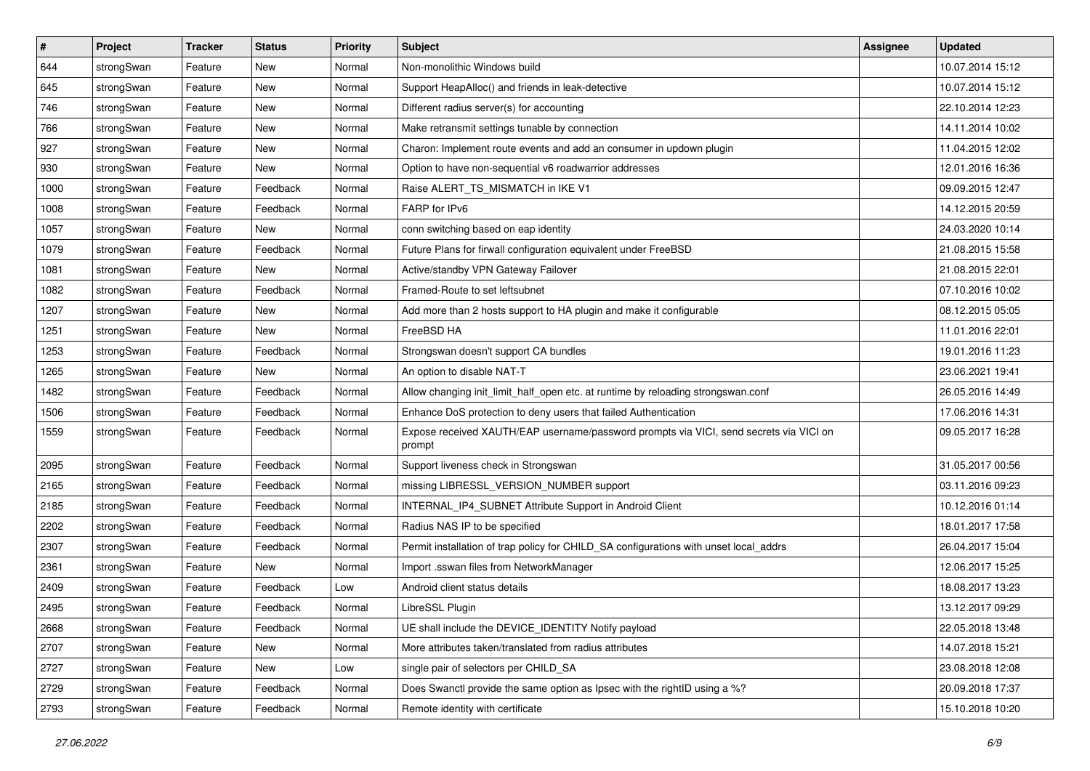| $\vert$ # | Project    | <b>Tracker</b> | <b>Status</b> | <b>Priority</b> | <b>Subject</b>                                                                                   | <b>Assignee</b> | <b>Updated</b>   |
|-----------|------------|----------------|---------------|-----------------|--------------------------------------------------------------------------------------------------|-----------------|------------------|
| 644       | strongSwan | Feature        | New           | Normal          | Non-monolithic Windows build                                                                     |                 | 10.07.2014 15:12 |
| 645       | strongSwan | Feature        | New           | Normal          | Support HeapAlloc() and friends in leak-detective                                                |                 | 10.07.2014 15:12 |
| 746       | strongSwan | Feature        | New           | Normal          | Different radius server(s) for accounting                                                        |                 | 22.10.2014 12:23 |
| 766       | strongSwan | Feature        | <b>New</b>    | Normal          | Make retransmit settings tunable by connection                                                   |                 | 14.11.2014 10:02 |
| 927       | strongSwan | Feature        | New           | Normal          | Charon: Implement route events and add an consumer in updown plugin                              |                 | 11.04.2015 12:02 |
| 930       | strongSwan | Feature        | <b>New</b>    | Normal          | Option to have non-sequential v6 roadwarrior addresses                                           |                 | 12.01.2016 16:36 |
| 1000      | strongSwan | Feature        | Feedback      | Normal          | Raise ALERT_TS_MISMATCH in IKE V1                                                                |                 | 09.09.2015 12:47 |
| 1008      | strongSwan | Feature        | Feedback      | Normal          | FARP for IPv6                                                                                    |                 | 14.12.2015 20:59 |
| 1057      | strongSwan | Feature        | New           | Normal          | conn switching based on eap identity                                                             |                 | 24.03.2020 10:14 |
| 1079      | strongSwan | Feature        | Feedback      | Normal          | Future Plans for firwall configuration equivalent under FreeBSD                                  |                 | 21.08.2015 15:58 |
| 1081      | strongSwan | Feature        | New           | Normal          | Active/standby VPN Gateway Failover                                                              |                 | 21.08.2015 22:01 |
| 1082      | strongSwan | Feature        | Feedback      | Normal          | Framed-Route to set leftsubnet                                                                   |                 | 07.10.2016 10:02 |
| 1207      | strongSwan | Feature        | <b>New</b>    | Normal          | Add more than 2 hosts support to HA plugin and make it configurable                              |                 | 08.12.2015 05:05 |
| 1251      | strongSwan | Feature        | New           | Normal          | FreeBSD HA                                                                                       |                 | 11.01.2016 22:01 |
| 1253      | strongSwan | Feature        | Feedback      | Normal          | Strongswan doesn't support CA bundles                                                            |                 | 19.01.2016 11:23 |
| 1265      | strongSwan | Feature        | New           | Normal          | An option to disable NAT-T                                                                       |                 | 23.06.2021 19:41 |
| 1482      | strongSwan | Feature        | Feedback      | Normal          | Allow changing init_limit_half_open etc. at runtime by reloading strongswan.conf                 |                 | 26.05.2016 14:49 |
| 1506      | strongSwan | Feature        | Feedback      | Normal          | Enhance DoS protection to deny users that failed Authentication                                  |                 | 17.06.2016 14:31 |
| 1559      | strongSwan | Feature        | Feedback      | Normal          | Expose received XAUTH/EAP username/password prompts via VICI, send secrets via VICI on<br>prompt |                 | 09.05.2017 16:28 |
| 2095      | strongSwan | Feature        | Feedback      | Normal          | Support liveness check in Strongswan                                                             |                 | 31.05.2017 00:56 |
| 2165      | strongSwan | Feature        | Feedback      | Normal          | missing LIBRESSL_VERSION_NUMBER support                                                          |                 | 03.11.2016 09:23 |
| 2185      | strongSwan | Feature        | Feedback      | Normal          | INTERNAL_IP4_SUBNET Attribute Support in Android Client                                          |                 | 10.12.2016 01:14 |
| 2202      | strongSwan | Feature        | Feedback      | Normal          | Radius NAS IP to be specified                                                                    |                 | 18.01.2017 17:58 |
| 2307      | strongSwan | Feature        | Feedback      | Normal          | Permit installation of trap policy for CHILD_SA configurations with unset local_addrs            |                 | 26.04.2017 15:04 |
| 2361      | strongSwan | Feature        | New           | Normal          | Import .sswan files from NetworkManager                                                          |                 | 12.06.2017 15:25 |
| 2409      | strongSwan | Feature        | Feedback      | Low             | Android client status details                                                                    |                 | 18.08.2017 13:23 |
| 2495      | strongSwan | Feature        | Feedback      | Normal          | LibreSSL Plugin                                                                                  |                 | 13.12.2017 09:29 |
| 2668      | strongSwan | Feature        | Feedback      | Normal          | UE shall include the DEVICE IDENTITY Notify payload                                              |                 | 22.05.2018 13:48 |
| 2707      | strongSwan | Feature        | New           | Normal          | More attributes taken/translated from radius attributes                                          |                 | 14.07.2018 15:21 |
| 2727      | strongSwan | Feature        | New           | Low             | single pair of selectors per CHILD_SA                                                            |                 | 23.08.2018 12:08 |
| 2729      | strongSwan | Feature        | Feedback      | Normal          | Does Swanctl provide the same option as Ipsec with the rightID using a %?                        |                 | 20.09.2018 17:37 |
| 2793      | strongSwan | Feature        | Feedback      | Normal          | Remote identity with certificate                                                                 |                 | 15.10.2018 10:20 |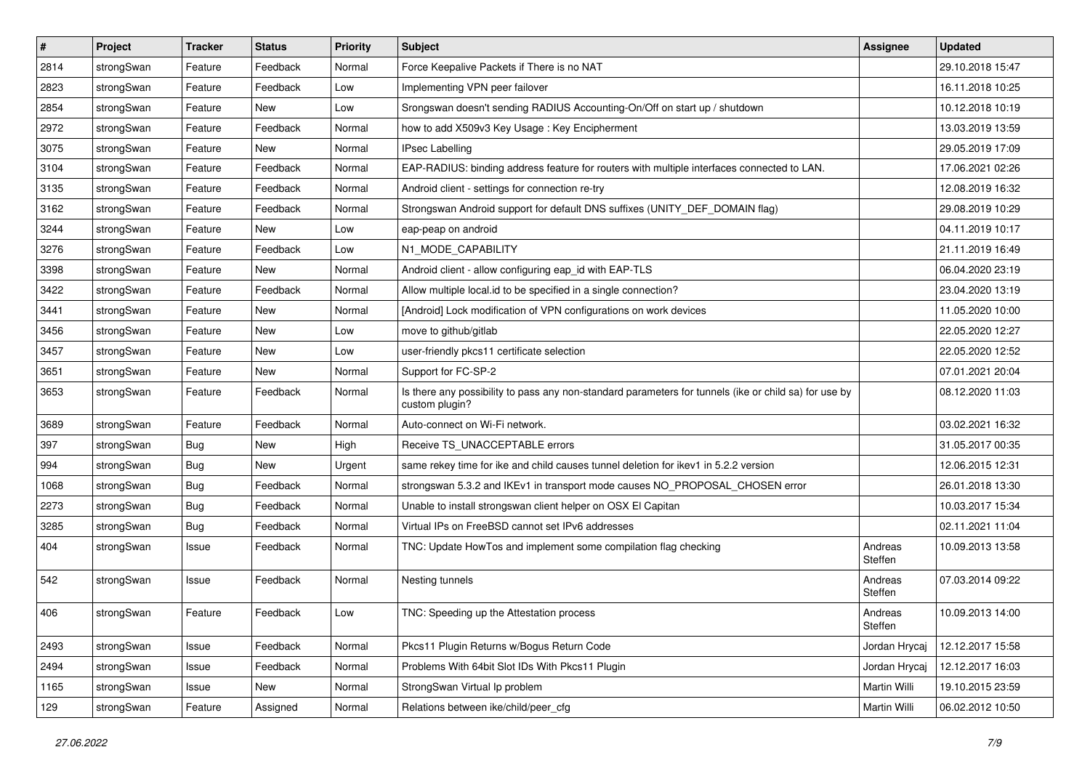| $\sharp$ | Project    | <b>Tracker</b> | <b>Status</b> | <b>Priority</b> | <b>Subject</b>                                                                                                          | <b>Assignee</b>    | <b>Updated</b>   |
|----------|------------|----------------|---------------|-----------------|-------------------------------------------------------------------------------------------------------------------------|--------------------|------------------|
| 2814     | strongSwan | Feature        | Feedback      | Normal          | Force Keepalive Packets if There is no NAT                                                                              |                    | 29.10.2018 15:47 |
| 2823     | strongSwan | Feature        | Feedback      | Low             | Implementing VPN peer failover                                                                                          |                    | 16.11.2018 10:25 |
| 2854     | strongSwan | Feature        | New           | Low             | Srongswan doesn't sending RADIUS Accounting-On/Off on start up / shutdown                                               |                    | 10.12.2018 10:19 |
| 2972     | strongSwan | Feature        | Feedback      | Normal          | how to add X509v3 Key Usage: Key Encipherment                                                                           |                    | 13.03.2019 13:59 |
| 3075     | strongSwan | Feature        | <b>New</b>    | Normal          | <b>IPsec Labelling</b>                                                                                                  |                    | 29.05.2019 17:09 |
| 3104     | strongSwan | Feature        | Feedback      | Normal          | EAP-RADIUS: binding address feature for routers with multiple interfaces connected to LAN.                              |                    | 17.06.2021 02:26 |
| 3135     | strongSwan | Feature        | Feedback      | Normal          | Android client - settings for connection re-try                                                                         |                    | 12.08.2019 16:32 |
| 3162     | strongSwan | Feature        | Feedback      | Normal          | Strongswan Android support for default DNS suffixes (UNITY DEF DOMAIN flag)                                             |                    | 29.08.2019 10:29 |
| 3244     | strongSwan | Feature        | New           | Low             | eap-peap on android                                                                                                     |                    | 04.11.2019 10:17 |
| 3276     | strongSwan | Feature        | Feedback      | Low             | N1_MODE_CAPABILITY                                                                                                      |                    | 21.11.2019 16:49 |
| 3398     | strongSwan | Feature        | New           | Normal          | Android client - allow configuring eap_id with EAP-TLS                                                                  |                    | 06.04.2020 23:19 |
| 3422     | strongSwan | Feature        | Feedback      | Normal          | Allow multiple local.id to be specified in a single connection?                                                         |                    | 23.04.2020 13:19 |
| 3441     | strongSwan | Feature        | New           | Normal          | [Android] Lock modification of VPN configurations on work devices                                                       |                    | 11.05.2020 10:00 |
| 3456     | strongSwan | Feature        | New           | Low             | move to github/gitlab                                                                                                   |                    | 22.05.2020 12:27 |
| 3457     | strongSwan | Feature        | <b>New</b>    | Low             | user-friendly pkcs11 certificate selection                                                                              |                    | 22.05.2020 12:52 |
| 3651     | strongSwan | Feature        | <b>New</b>    | Normal          | Support for FC-SP-2                                                                                                     |                    | 07.01.2021 20:04 |
| 3653     | strongSwan | Feature        | Feedback      | Normal          | Is there any possibility to pass any non-standard parameters for tunnels (ike or child sa) for use by<br>custom plugin? |                    | 08.12.2020 11:03 |
| 3689     | strongSwan | Feature        | Feedback      | Normal          | Auto-connect on Wi-Fi network.                                                                                          |                    | 03.02.2021 16:32 |
| 397      | strongSwan | <b>Bug</b>     | <b>New</b>    | High            | Receive TS_UNACCEPTABLE errors                                                                                          |                    | 31.05.2017 00:35 |
| 994      | strongSwan | Bug            | New           | Urgent          | same rekey time for ike and child causes tunnel deletion for ikev1 in 5.2.2 version                                     |                    | 12.06.2015 12:31 |
| 1068     | strongSwan | <b>Bug</b>     | Feedback      | Normal          | strongswan 5.3.2 and IKEv1 in transport mode causes NO_PROPOSAL_CHOSEN error                                            |                    | 26.01.2018 13:30 |
| 2273     | strongSwan | <b>Bug</b>     | Feedback      | Normal          | Unable to install strongswan client helper on OSX El Capitan                                                            |                    | 10.03.2017 15:34 |
| 3285     | strongSwan | <b>Bug</b>     | Feedback      | Normal          | Virtual IPs on FreeBSD cannot set IPv6 addresses                                                                        |                    | 02.11.2021 11:04 |
| 404      | strongSwan | Issue          | Feedback      | Normal          | TNC: Update HowTos and implement some compilation flag checking                                                         | Andreas<br>Steffen | 10.09.2013 13:58 |
| 542      | strongSwan | Issue          | Feedback      | Normal          | Nesting tunnels                                                                                                         | Andreas<br>Steffen | 07.03.2014 09:22 |
| 406      | strongSwan | Feature        | Feedback      | Low             | TNC: Speeding up the Attestation process                                                                                | Andreas<br>Steffen | 10.09.2013 14:00 |
| 2493     | strongSwan | Issue          | Feedback      | Normal          | Pkcs11 Plugin Returns w/Bogus Return Code                                                                               | Jordan Hrycaj      | 12.12.2017 15:58 |
| 2494     | strongSwan | Issue          | Feedback      | Normal          | Problems With 64bit Slot IDs With Pkcs11 Plugin                                                                         | Jordan Hrycaj      | 12.12.2017 16:03 |
| 1165     | strongSwan | Issue          | New           | Normal          | StrongSwan Virtual Ip problem                                                                                           | Martin Willi       | 19.10.2015 23:59 |
| 129      | strongSwan | Feature        | Assigned      | Normal          | Relations between ike/child/peer_cfg                                                                                    | Martin Willi       | 06.02.2012 10:50 |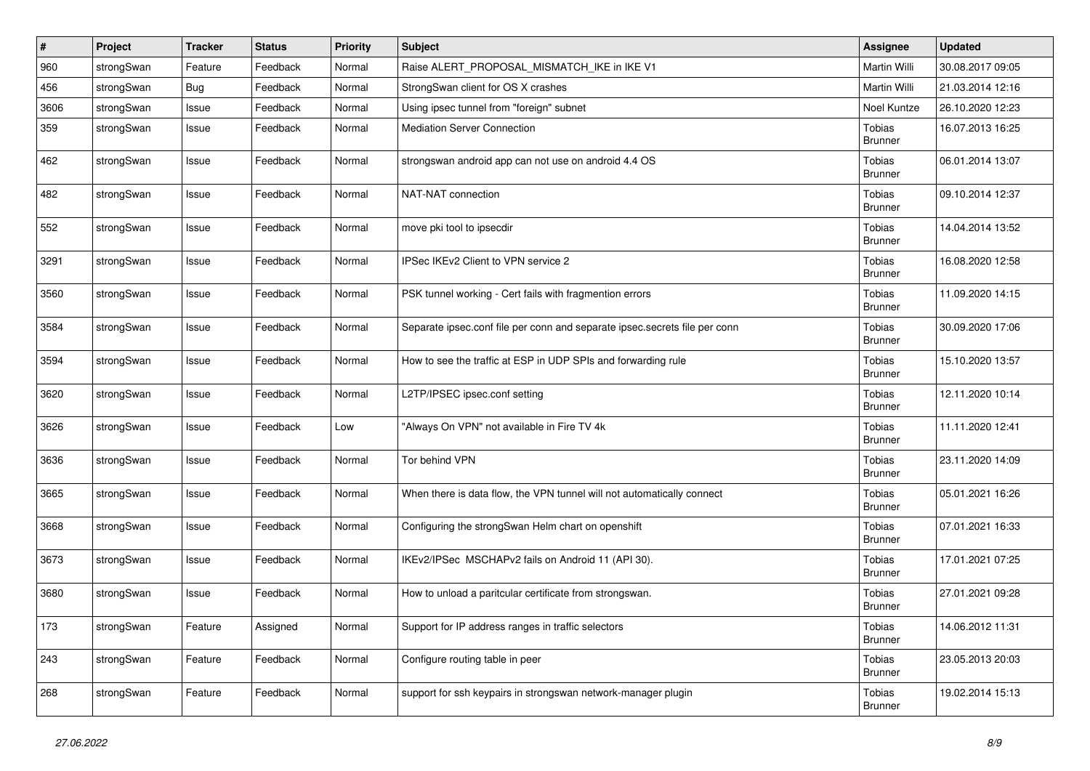| $\vert$ # | Project    | <b>Tracker</b> | <b>Status</b> | Priority | <b>Subject</b>                                                             | <b>Assignee</b>                 | <b>Updated</b>   |
|-----------|------------|----------------|---------------|----------|----------------------------------------------------------------------------|---------------------------------|------------------|
| 960       | strongSwan | Feature        | Feedback      | Normal   | Raise ALERT PROPOSAL MISMATCH IKE in IKE V1                                | Martin Willi                    | 30.08.2017 09:05 |
| 456       | strongSwan | <b>Bug</b>     | Feedback      | Normal   | StrongSwan client for OS X crashes                                         | Martin Willi                    | 21.03.2014 12:16 |
| 3606      | strongSwan | Issue          | Feedback      | Normal   | Using ipsec tunnel from "foreign" subnet                                   | Noel Kuntze                     | 26.10.2020 12:23 |
| 359       | strongSwan | Issue          | Feedback      | Normal   | <b>Mediation Server Connection</b>                                         | Tobias<br><b>Brunner</b>        | 16.07.2013 16:25 |
| 462       | strongSwan | Issue          | Feedback      | Normal   | strongswan android app can not use on android 4.4 OS                       | Tobias<br><b>Brunner</b>        | 06.01.2014 13:07 |
| 482       | strongSwan | Issue          | Feedback      | Normal   | NAT-NAT connection                                                         | Tobias<br><b>Brunner</b>        | 09.10.2014 12:37 |
| 552       | strongSwan | Issue          | Feedback      | Normal   | move pki tool to ipsecdir                                                  | Tobias<br>Brunner               | 14.04.2014 13:52 |
| 3291      | strongSwan | Issue          | Feedback      | Normal   | IPSec IKEv2 Client to VPN service 2                                        | Tobias<br><b>Brunner</b>        | 16.08.2020 12:58 |
| 3560      | strongSwan | Issue          | Feedback      | Normal   | PSK tunnel working - Cert fails with fragmention errors                    | Tobias<br><b>Brunner</b>        | 11.09.2020 14:15 |
| 3584      | strongSwan | Issue          | Feedback      | Normal   | Separate ipsec.conf file per conn and separate ipsec.secrets file per conn | <b>Tobias</b><br><b>Brunner</b> | 30.09.2020 17:06 |
| 3594      | strongSwan | Issue          | Feedback      | Normal   | How to see the traffic at ESP in UDP SPIs and forwarding rule              | Tobias<br><b>Brunner</b>        | 15.10.2020 13:57 |
| 3620      | strongSwan | Issue          | Feedback      | Normal   | L2TP/IPSEC ipsec.conf setting                                              | Tobias<br><b>Brunner</b>        | 12.11.2020 10:14 |
| 3626      | strongSwan | Issue          | Feedback      | Low      | "Always On VPN" not available in Fire TV 4k                                | Tobias<br><b>Brunner</b>        | 11.11.2020 12:41 |
| 3636      | strongSwan | Issue          | Feedback      | Normal   | Tor behind VPN                                                             | Tobias<br>Brunner               | 23.11.2020 14:09 |
| 3665      | strongSwan | Issue          | Feedback      | Normal   | When there is data flow, the VPN tunnel will not automatically connect     | Tobias<br><b>Brunner</b>        | 05.01.2021 16:26 |
| 3668      | strongSwan | Issue          | Feedback      | Normal   | Configuring the strongSwan Helm chart on openshift                         | Tobias<br><b>Brunner</b>        | 07.01.2021 16:33 |
| 3673      | strongSwan | Issue          | Feedback      | Normal   | IKEv2/IPSec MSCHAPv2 fails on Android 11 (API 30).                         | Tobias<br><b>Brunner</b>        | 17.01.2021 07:25 |
| 3680      | strongSwan | Issue          | Feedback      | Normal   | How to unload a paritcular certificate from strongswan.                    | Tobias<br><b>Brunner</b>        | 27.01.2021 09:28 |
| 173       | strongSwan | Feature        | Assigned      | Normal   | Support for IP address ranges in traffic selectors                         | Tobias<br><b>Brunner</b>        | 14.06.2012 11:31 |
| 243       | strongSwan | Feature        | Feedback      | Normal   | Configure routing table in peer                                            | <b>Tobias</b><br><b>Brunner</b> | 23.05.2013 20:03 |
| 268       | strongSwan | Feature        | Feedback      | Normal   | support for ssh keypairs in strongswan network-manager plugin              | <b>Tobias</b><br><b>Brunner</b> | 19.02.2014 15:13 |